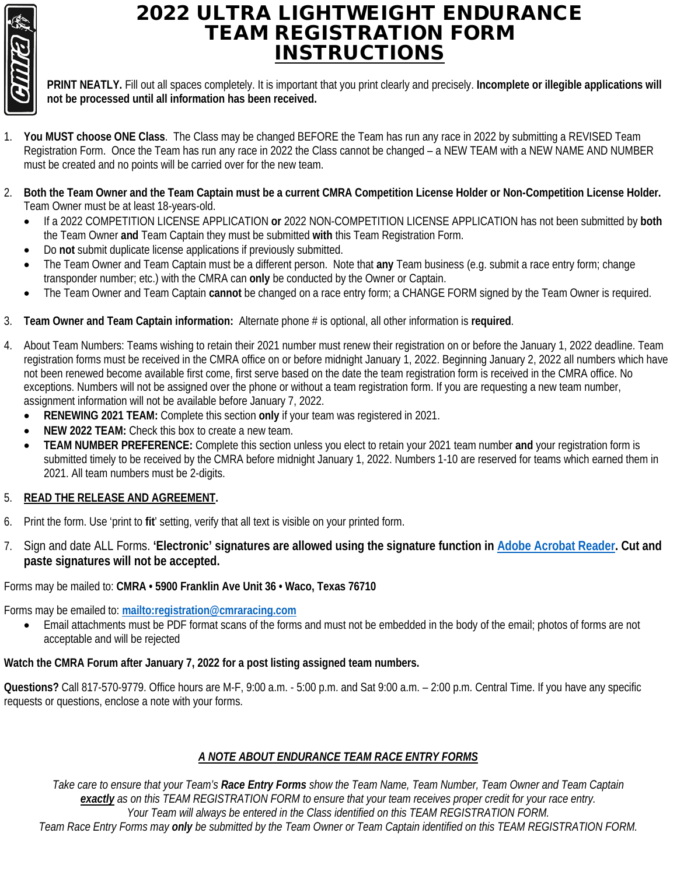

## 2022 ULTRA LIGHTWEIGHT ENDURANCE TEAM REGISTRATION FORM INSTRUCTIONS

**PRINT NEATLY.** Fill out all spaces completely. It is important that you print clearly and precisely. **Incomplete or illegible applications will not be processed until all information has been received.**

- 1. **You MUST choose ONE Class**. The Class may be changed BEFORE the Team has run any race in 2022 by submitting a REVISED Team Registration Form. Once the Team has run any race in 2022 the Class cannot be changed – a NEW TEAM with a NEW NAME AND NUMBER must be created and no points will be carried over for the new team.
- 2. **Both the Team Owner and the Team Captain must be a current CMRA Competition License Holder or Non-Competition License Holder.** Team Owner must be at least 18-years-old.
	- If a 2022 COMPETITION LICENSE APPLICATION **or** 2022 NON-COMPETITION LICENSE APPLICATION has not been submitted by **both** the Team Owner **and** Team Captain they must be submitted **with** this Team Registration Form.
	- Do **not** submit duplicate license applications if previously submitted.
	- The Team Owner and Team Captain must be a different person. Note that **any** Team business (e.g. submit a race entry form; change transponder number; etc.) with the CMRA can **only** be conducted by the Owner or Captain.
	- The Team Owner and Team Captain **cannot** be changed on a race entry form; a CHANGE FORM signed by the Team Owner is required.
- 3. **Team Owner and Team Captain information:** Alternate phone # is optional, all other information is **required**.
- 4. About Team Numbers: Teams wishing to retain their 2021 number must renew their registration on or before the January 1, 2022 deadline. Team registration forms must be received in the CMRA office on or before midnight January 1, 2022. Beginning January 2, 2022 all numbers which have not been renewed become available first come, first serve based on the date the team registration form is received in the CMRA office. No exceptions. Numbers will not be assigned over the phone or without a team registration form. If you are requesting a new team number, assignment information will not be available before January 7, 2022.
	- **RENEWING 2021 TEAM:** Complete this section **only** if your team was registered in 2021.
	- **NEW 2022 TEAM:** Check this box to create a new team.
	- **TEAM NUMBER PREFERENCE:** Complete this section unless you elect to retain your 2021 team number **and** your registration form is submitted timely to be received by the CMRA before midnight January 1, 2022. Numbers 1-10 are reserved for teams which earned them in 2021. All team numbers must be 2-digits.

#### 5. **READ THE RELEASE AND AGREEMENT.**

- 6. Print the form. Use 'print to **fit**' setting, verify that all text is visible on your printed form.
- 7. Sign and date ALL Forms. **'Electronic' signatures are allowed using the signature function in [Adobe Acrobat Reader.](https://get.adobe.com/reader/) Cut and paste signatures will not be accepted.**

Forms may be mailed to: **CMRA • 5900 Franklin Ave Unit 36 • Waco, Texas 76710**

Forms may be emailed to: **<mailto:registration@cmraracing.com>**

• Email attachments must be PDF format scans of the forms and must not be embedded in the body of the email; photos of forms are not acceptable and will be rejected

### **Watch the CMRA Forum after January 7, 2022 for a post listing assigned team numbers.**

**Questions?** Call 817-570-9779. Office hours are M-F, 9:00 a.m. - 5:00 p.m. and Sat 9:00 a.m. – 2:00 p.m. Central Time. If you have any specific requests or questions, enclose a note with your forms.

### *A NOTE ABOUT ENDURANCE TEAM RACE ENTRY FORMS*

*Take care to ensure that your Team's Race Entry Forms show the Team Name, Team Number, Team Owner and Team Captain exactly as on this TEAM REGISTRATION FORM to ensure that your team receives proper credit for your race entry. Your Team will always be entered in the Class identified on this TEAM REGISTRATION FORM. Team Race Entry Forms may only be submitted by the Team Owner or Team Captain identified on this TEAM REGISTRATION FORM.*